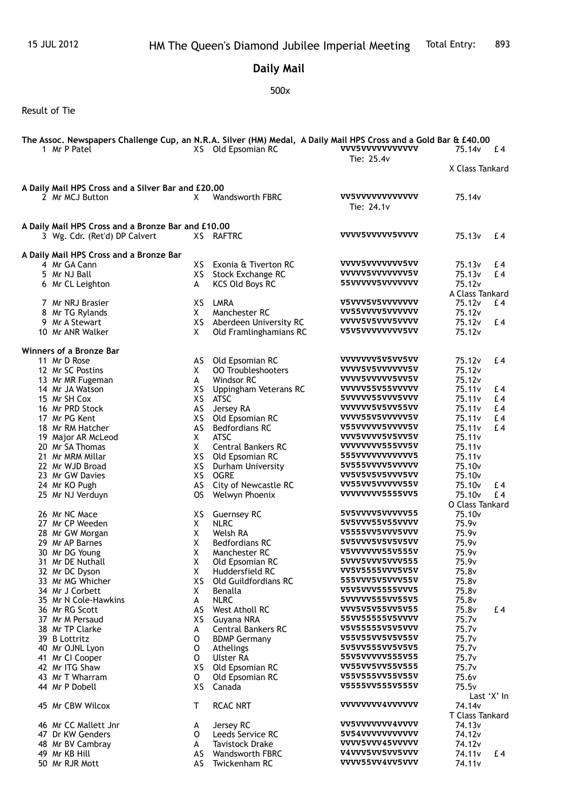## **Daily Mail**

## 500x

Result of Tie

|                                                    | The Assoc. Newspapers Challenge Cup, an N.R.A. Silver (HM) Medal, A Daily Mail HPS Cross and a Gold Bar & £40.00 |          |                                                     |                                    |                                          |             |  |  |  |  |  |
|----------------------------------------------------|------------------------------------------------------------------------------------------------------------------|----------|-----------------------------------------------------|------------------------------------|------------------------------------------|-------------|--|--|--|--|--|
|                                                    | 1 Mr P Patel                                                                                                     |          | XS Old Epsomian RC                                  | <b>VVV5VVVVVVVVVVVV</b>            | 75.14v                                   | $E_4$       |  |  |  |  |  |
|                                                    |                                                                                                                  |          |                                                     | Tie: 25.4v                         |                                          |             |  |  |  |  |  |
|                                                    |                                                                                                                  |          |                                                     |                                    | X Class Tankard                          |             |  |  |  |  |  |
| A Daily Mail HPS Cross and a Silver Bar and £20.00 |                                                                                                                  |          |                                                     |                                    |                                          |             |  |  |  |  |  |
|                                                    | 2 Mr MCJ Button                                                                                                  | X        | Wandsworth FBRC                                     | vv5vvvvvvvvvvvv<br>Tie: 24.1v      | 75.14v                                   |             |  |  |  |  |  |
| A Daily Mail HPS Cross and a Bronze Bar and £10.00 |                                                                                                                  |          |                                                     |                                    |                                          |             |  |  |  |  |  |
|                                                    | 3 Wg. Cdr. (Ret'd) DP Calvert                                                                                    |          | XS RAFTRC                                           | VVVV5VVVVV5VVVV                    | 75.13 <sub>v</sub>                       | £4          |  |  |  |  |  |
|                                                    | A Daily Mail HPS Cross and a Bronze Bar                                                                          |          |                                                     |                                    |                                          |             |  |  |  |  |  |
|                                                    | 4 Mr GA Cann                                                                                                     | XS.      | Exonia & Tiverton RC                                | VVVV5VVVVVVV5VV                    | 75.13 <sub>v</sub>                       | £4          |  |  |  |  |  |
|                                                    | 5 Mr NJ Ball                                                                                                     |          | XS Stock Exchange RC                                | VVVVV5VVVVVVVV5V                   | 75.13v                                   | £4          |  |  |  |  |  |
|                                                    | 6 Mr CL Leighton                                                                                                 | A        | <b>KCS Old Boys RC</b>                              | 55VVVVV5VVVVVVV                    | 75.12v                                   |             |  |  |  |  |  |
|                                                    |                                                                                                                  |          |                                                     |                                    | A Class Tankard                          |             |  |  |  |  |  |
|                                                    | 7 Mr NRJ Brasier                                                                                                 |          | XS LMRA                                             | V5VVV5V5VVVVVVV<br>VV55VVVV5VVVVVV | 75.12 <sub>v</sub>                       | £4          |  |  |  |  |  |
|                                                    | 8 Mr TG Rylands                                                                                                  | X.       | Manchester RC                                       | VVVV5V5VVV5VVVV                    | 75.12v                                   | £4          |  |  |  |  |  |
|                                                    | 9 Mr A Stewart<br>10 Mr ANR Walker                                                                               | X.       | XS Aberdeen University RC<br>Old Framlinghamians RC | V5V5VVVVVVVV5VV                    | 75.12 <sub>v</sub><br>75.12v             |             |  |  |  |  |  |
|                                                    |                                                                                                                  |          |                                                     |                                    |                                          |             |  |  |  |  |  |
|                                                    | Winners of a Bronze Bar                                                                                          |          |                                                     |                                    |                                          |             |  |  |  |  |  |
|                                                    | 11 Mr D Rose                                                                                                     | AS       | Old Epsomian RC                                     | VVVVVVV5V5VV5VV                    | 75.12v                                   | £4          |  |  |  |  |  |
|                                                    | 12 Mr SC Postins                                                                                                 | Χ        | <b>00 Troubleshooters</b>                           | VVVV5V5VVVVVVV5V                   | 75.12v                                   |             |  |  |  |  |  |
|                                                    | 13 Mr MR Fugeman                                                                                                 | A        | Windsor RC                                          | VVVV5VVVVV5VV5V                    | 75.12v                                   |             |  |  |  |  |  |
|                                                    | 14 Mr JA Watson                                                                                                  | XS       | Uppingham Veterans RC                               | VVVVV55V55VVVVV                    | 75.11v                                   | £4          |  |  |  |  |  |
|                                                    | 15 Mr SH Cox                                                                                                     |          | XS ATSC                                             | 5VVVVV55VVV5VVV                    | 75.11v                                   | £4          |  |  |  |  |  |
|                                                    | 16 Mr PRD Stock                                                                                                  | AS       | Jersey RA                                           | vvvvvv5v5vv55vv                    | 75.11v                                   | £4          |  |  |  |  |  |
|                                                    | 17 Mr PG Kent                                                                                                    | XS       | Old Epsomian RC                                     | VVVV55V5VVVVV5V                    | 75.11v                                   | £4          |  |  |  |  |  |
|                                                    | 18 Mr RM Hatcher                                                                                                 | AS       | <b>Bedfordians RC</b>                               | V55VVVVV5VVVV5V                    | 75.11v                                   | £4          |  |  |  |  |  |
|                                                    | 19 Major AR McLeod                                                                                               | X        | <b>ATSC</b>                                         | VVV5VVVV5V5VV5V                    | 75.11v                                   |             |  |  |  |  |  |
|                                                    | 20 Mr SA Thomas                                                                                                  | X        | <b>Central Bankers RC</b>                           | VVVVVVVV555VV5V<br>555VVVVVVVVVV5  | 75.11v                                   |             |  |  |  |  |  |
|                                                    | 21 Mr MRM Millar                                                                                                 |          | XS Old Epsomian RC                                  | 5V555VVVV5VVVVV                    | 75.11v                                   |             |  |  |  |  |  |
|                                                    | 22 Mr WJD Broad<br>23 Mr GW Davies                                                                               | XS<br>XS | Durham University<br><b>OGRE</b>                    | VV5V5V5V5VVV5VV                    | 75.10 <sub>v</sub><br>75.10 <sub>v</sub> |             |  |  |  |  |  |
|                                                    | 24 Mr KO Pugh                                                                                                    |          | AS City of Newcastle RC                             | VV55VV5VVVVV55V                    | 75.10 <sub>v</sub>                       | £4          |  |  |  |  |  |
|                                                    | 25 Mr NJ Verduyn                                                                                                 | OS .     | Welwyn Phoenix                                      | VVVVVVV5555VV5                     | 75.10 <sub>v</sub>                       | £4          |  |  |  |  |  |
|                                                    |                                                                                                                  |          |                                                     |                                    | O Class Tankard                          |             |  |  |  |  |  |
|                                                    | 26 Mr NC Mace                                                                                                    |          | XS Guernsey RC                                      | 5V5VVVV5VVVVV55                    | 75.10 <sub>v</sub>                       |             |  |  |  |  |  |
|                                                    | 27 Mr CP Weeden                                                                                                  | X        | <b>NLRC</b>                                         | 5V5VVV55V55VVVV                    | 75.9 <sub>v</sub>                        |             |  |  |  |  |  |
|                                                    | 28 Mr GW Morgan                                                                                                  | Χ        | Welsh RA                                            | V5555VV5VVV5VVV                    | 75.9 <sub>v</sub>                        |             |  |  |  |  |  |
|                                                    | 29 Mr AP Barnes                                                                                                  | Χ        | <b>Bedfordians RC</b>                               | 5V5VVV5V5V5V5VV                    | 75.9v                                    |             |  |  |  |  |  |
|                                                    | 30 Mr DG Young                                                                                                   | X        | Manchester RC                                       | V5VVVVVV55V555V                    | 75.9v                                    |             |  |  |  |  |  |
|                                                    | 31 Mr DE Nuthall                                                                                                 | χ        | Old Epsomian RC                                     | 5VVV5VVV5VVV555                    | 75.9v                                    |             |  |  |  |  |  |
|                                                    | 32 Mr DC Dyson                                                                                                   | Χ        | Huddersfield RC                                     | VV5V5555VVV5V5V                    | 75.8v                                    |             |  |  |  |  |  |
|                                                    | 33 Mr MG Whicher                                                                                                 | XS.      | Old Guildfordians RC                                | 555VVV5V5VVV55V                    | 75.8v                                    |             |  |  |  |  |  |
|                                                    | 34 Mr J Corbett                                                                                                  | Χ        | Benalla                                             | V5V5VVV5555VVV5                    | 75.8v                                    |             |  |  |  |  |  |
|                                                    | 35 Mr N Cole-Hawkins                                                                                             | A        | <b>NLRC</b>                                         | 5VVVVV555VV55V5                    | 75.8v                                    |             |  |  |  |  |  |
|                                                    | 36 Mr RG Scott                                                                                                   | AS       | West Atholl RC                                      | VVV5V5V55VV5V55<br>55VV55555V5VVVV | 75.8v                                    | £4          |  |  |  |  |  |
|                                                    | 37 Mr M Persaud<br>38 Mr TP Clarke                                                                               | XS       | Guyana NRA<br><b>Central Bankers RC</b>             | V5V55555V5V5VVV                    | 75.7v<br>75.7v                           |             |  |  |  |  |  |
|                                                    | 39 B Lottritz                                                                                                    | A<br>0   | <b>BDMP Germany</b>                                 | V55V55VV5V5V55V                    | 75.7v                                    |             |  |  |  |  |  |
|                                                    | 40 Mr OJNL Lyon                                                                                                  | 0        | Athelings                                           | 5V5VV555VV5V5V5                    | 75.7v                                    |             |  |  |  |  |  |
|                                                    | 41 Mr CI Cooper                                                                                                  | 0        | <b>Ulster RA</b>                                    | 55V5VVVVV555V55                    | 75.7v                                    |             |  |  |  |  |  |
|                                                    | 42 Mr ITG Shaw                                                                                                   | XS       | Old Epsomian RC                                     | VV55VV5VV55V555                    | 75.7v                                    |             |  |  |  |  |  |
|                                                    | 43 Mr T Wharram                                                                                                  | 0        | Old Epsomian RC                                     | V55V555VV55V55V                    | 75.6v                                    |             |  |  |  |  |  |
|                                                    | 44 Mr P Dobell                                                                                                   | XS       | Canada                                              | V5555VV555V555V                    | 75.5v                                    |             |  |  |  |  |  |
|                                                    |                                                                                                                  |          |                                                     |                                    |                                          | Last 'X' In |  |  |  |  |  |
|                                                    | 45 Mr CBW Wilcox                                                                                                 | Τ        | <b>RCAC NRT</b>                                     | vvvvvvv4vvvvvv                     | 74.14v                                   |             |  |  |  |  |  |
|                                                    |                                                                                                                  |          |                                                     |                                    | T Class Tankard                          |             |  |  |  |  |  |
|                                                    | 46 Mr CC Mallett Jnr                                                                                             | A        | Jersey RC                                           | <b>VV5VVVVVVV4VVVV</b>             | 74.13 <sub>v</sub>                       |             |  |  |  |  |  |
|                                                    | 47 Dr KW Genders                                                                                                 | 0        | Leeds Service RC                                    | 5V54VVVVVVVVVV                     | 74.12 <sub>v</sub>                       |             |  |  |  |  |  |
|                                                    | 48 Mr BV Cambray                                                                                                 | A        | <b>Tavistock Drake</b>                              | VVVV5VVV45VVVVV                    | 74.12v                                   |             |  |  |  |  |  |
|                                                    | 49 Mr KB Hill                                                                                                    | AS       | Wandsworth FBRC                                     | V4VVV5VV5VV5VVV                    | 74.11 <sub>v</sub>                       | £4          |  |  |  |  |  |
|                                                    | 50 Mr RJR Mott                                                                                                   | AS       | Twickenham RC                                       | VVVV55VV4VV5VVV                    | 74.11v                                   |             |  |  |  |  |  |